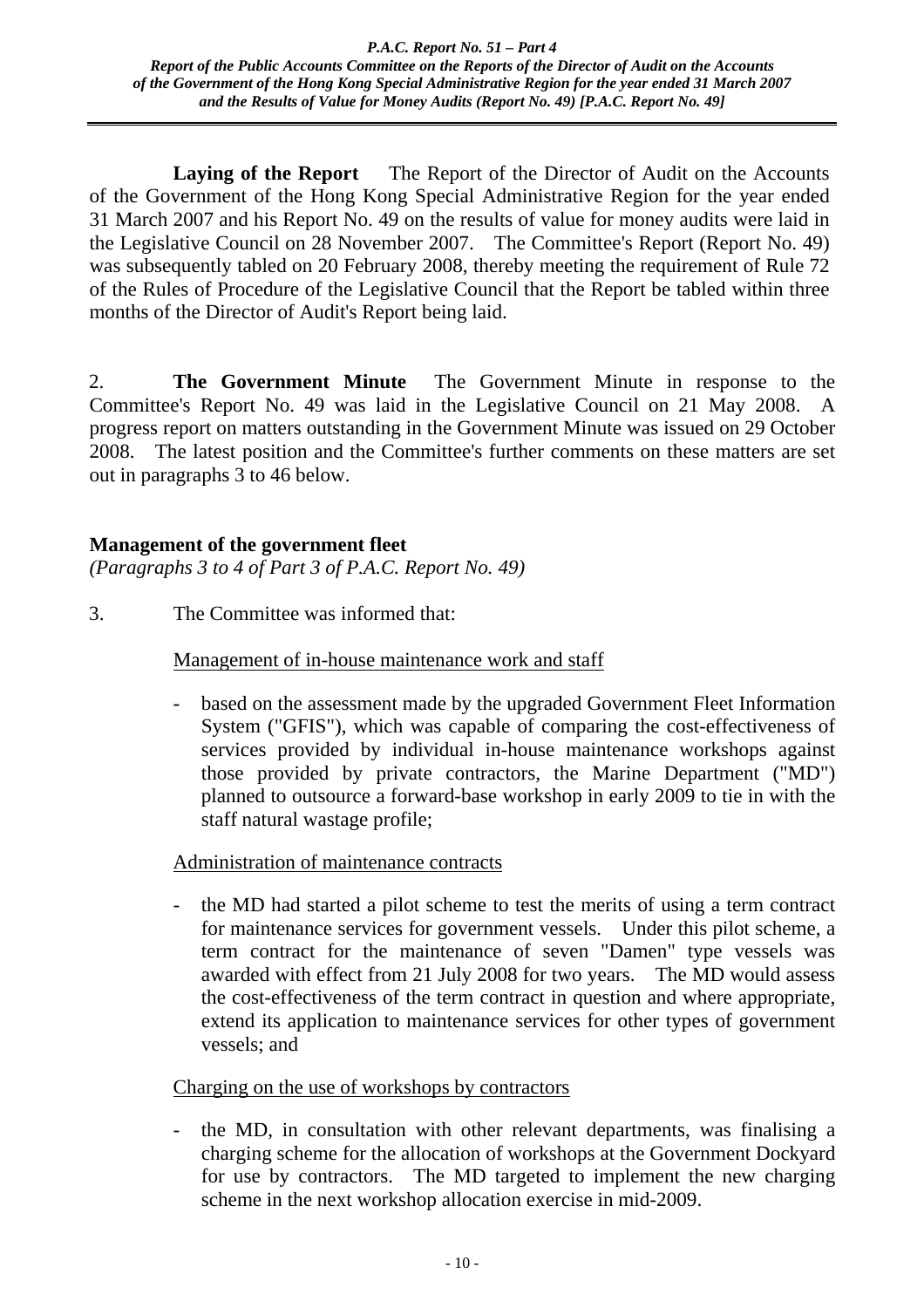Laying of the Report The Report of the Director of Audit on the Accounts of the Government of the Hong Kong Special Administrative Region for the year ended 31 March 2007 and his Report No. 49 on the results of value for money audits were laid in the Legislative Council on 28 November 2007. The Committee's Report (Report No. 49) was subsequently tabled on 20 February 2008, thereby meeting the requirement of Rule 72 of the Rules of Procedure of the Legislative Council that the Report be tabled within three months of the Director of Audit's Report being laid.

2. **The Government Minute** The Government Minute in response to the Committee's Report No. 49 was laid in the Legislative Council on 21 May 2008. A progress report on matters outstanding in the Government Minute was issued on 29 October 2008. The latest position and the Committee's further comments on these matters are set out in paragraphs 3 to 46 below.

## **Management of the government fleet**

*(Paragraphs 3 to 4 of Part 3 of P.A.C. Report No. 49)*

3. The Committee was informed that:

Management of in-house maintenance work and staff

based on the assessment made by the upgraded Government Fleet Information System ("GFIS"), which was capable of comparing the cost-effectiveness of services provided by individual in-house maintenance workshops against those provided by private contractors, the Marine Department ("MD") planned to outsource a forward-base workshop in early 2009 to tie in with the staff natural wastage profile;

Administration of maintenance contracts

- the MD had started a pilot scheme to test the merits of using a term contract for maintenance services for government vessels. Under this pilot scheme, a term contract for the maintenance of seven "Damen" type vessels was awarded with effect from 21 July 2008 for two years. The MD would assess the cost-effectiveness of the term contract in question and where appropriate, extend its application to maintenance services for other types of government vessels; and

Charging on the use of workshops by contractors

the MD, in consultation with other relevant departments, was finalising a charging scheme for the allocation of workshops at the Government Dockyard for use by contractors. The MD targeted to implement the new charging scheme in the next workshop allocation exercise in mid-2009.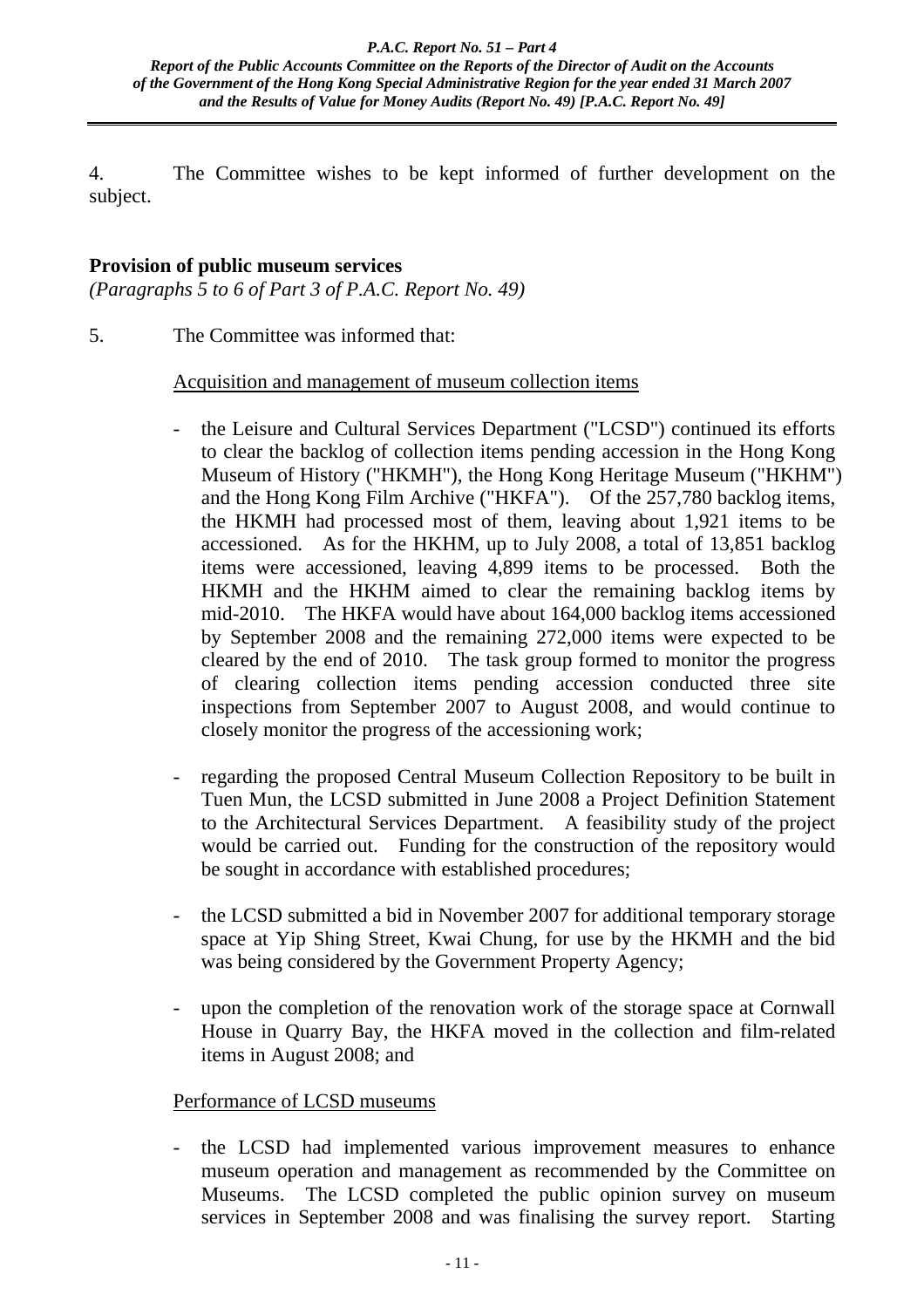4. The Committee wishes to be kept informed of further development on the subject.

## **Provision of public museum services**

*(Paragraphs 5 to 6 of Part 3 of P.A.C. Report No. 49)*

5. The Committee was informed that:

## Acquisition and management of museum collection items

- the Leisure and Cultural Services Department ("LCSD") continued its efforts to clear the backlog of collection items pending accession in the Hong Kong Museum of History ("HKMH"), the Hong Kong Heritage Museum ("HKHM") and the Hong Kong Film Archive ("HKFA"). Of the 257,780 backlog items, the HKMH had processed most of them, leaving about 1,921 items to be accessioned. As for the HKHM, up to July 2008, a total of 13,851 backlog items were accessioned, leaving 4,899 items to be processed. Both the HKMH and the HKHM aimed to clear the remaining backlog items by mid-2010. The HKFA would have about 164,000 backlog items accessioned by September 2008 and the remaining 272,000 items were expected to be cleared by the end of 2010. The task group formed to monitor the progress of clearing collection items pending accession conducted three site inspections from September 2007 to August 2008, and would continue to closely monitor the progress of the accessioning work;
- regarding the proposed Central Museum Collection Repository to be built in Tuen Mun, the LCSD submitted in June 2008 a Project Definition Statement to the Architectural Services Department. A feasibility study of the project would be carried out. Funding for the construction of the repository would be sought in accordance with established procedures;
- the LCSD submitted a bid in November 2007 for additional temporary storage space at Yip Shing Street, Kwai Chung, for use by the HKMH and the bid was being considered by the Government Property Agency;
- upon the completion of the renovation work of the storage space at Cornwall House in Quarry Bay, the HKFA moved in the collection and film-related items in August 2008; and

## Performance of LCSD museums

the LCSD had implemented various improvement measures to enhance museum operation and management as recommended by the Committee on Museums. The LCSD completed the public opinion survey on museum services in September 2008 and was finalising the survey report. Starting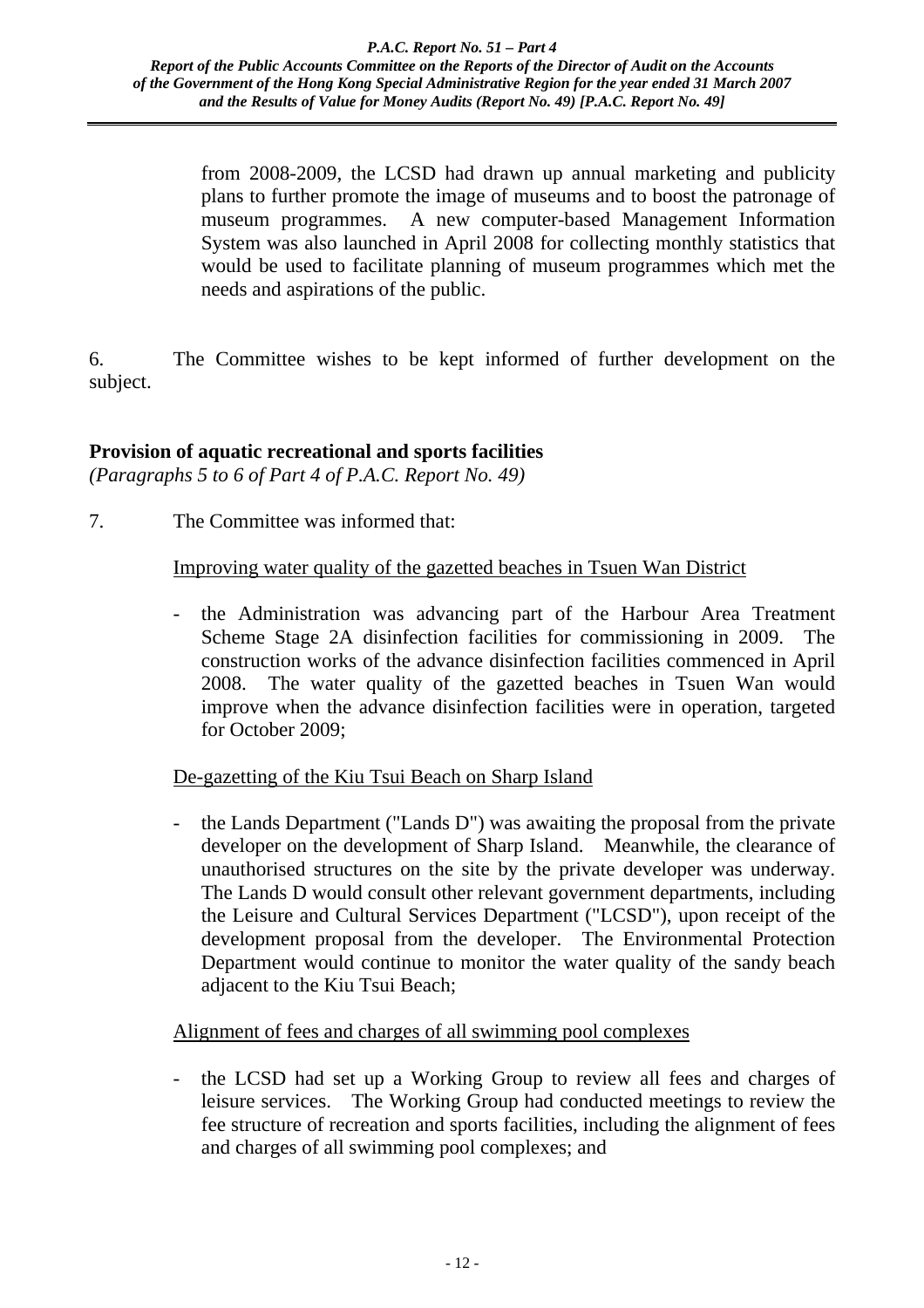from 2008-2009, the LCSD had drawn up annual marketing and publicity plans to further promote the image of museums and to boost the patronage of museum programmes. A new computer-based Management Information System was also launched in April 2008 for collecting monthly statistics that would be used to facilitate planning of museum programmes which met the needs and aspirations of the public.

6. The Committee wishes to be kept informed of further development on the subject.

## **Provision of aquatic recreational and sports facilities**

*(Paragraphs 5 to 6 of Part 4 of P.A.C. Report No. 49)*

7. The Committee was informed that:

## Improving water quality of the gazetted beaches in Tsuen Wan District

- the Administration was advancing part of the Harbour Area Treatment Scheme Stage 2A disinfection facilities for commissioning in 2009. The construction works of the advance disinfection facilities commenced in April 2008. The water quality of the gazetted beaches in Tsuen Wan would improve when the advance disinfection facilities were in operation, targeted for October 2009;

## De-gazetting of the Kiu Tsui Beach on Sharp Island

- the Lands Department ("Lands D") was awaiting the proposal from the private developer on the development of Sharp Island. Meanwhile, the clearance of unauthorised structures on the site by the private developer was underway. The Lands D would consult other relevant government departments, including the Leisure and Cultural Services Department ("LCSD"), upon receipt of the development proposal from the developer. The Environmental Protection Department would continue to monitor the water quality of the sandy beach adjacent to the Kiu Tsui Beach;

## Alignment of fees and charges of all swimming pool complexes

- the LCSD had set up a Working Group to review all fees and charges of leisure services. The Working Group had conducted meetings to review the fee structure of recreation and sports facilities, including the alignment of fees and charges of all swimming pool complexes; and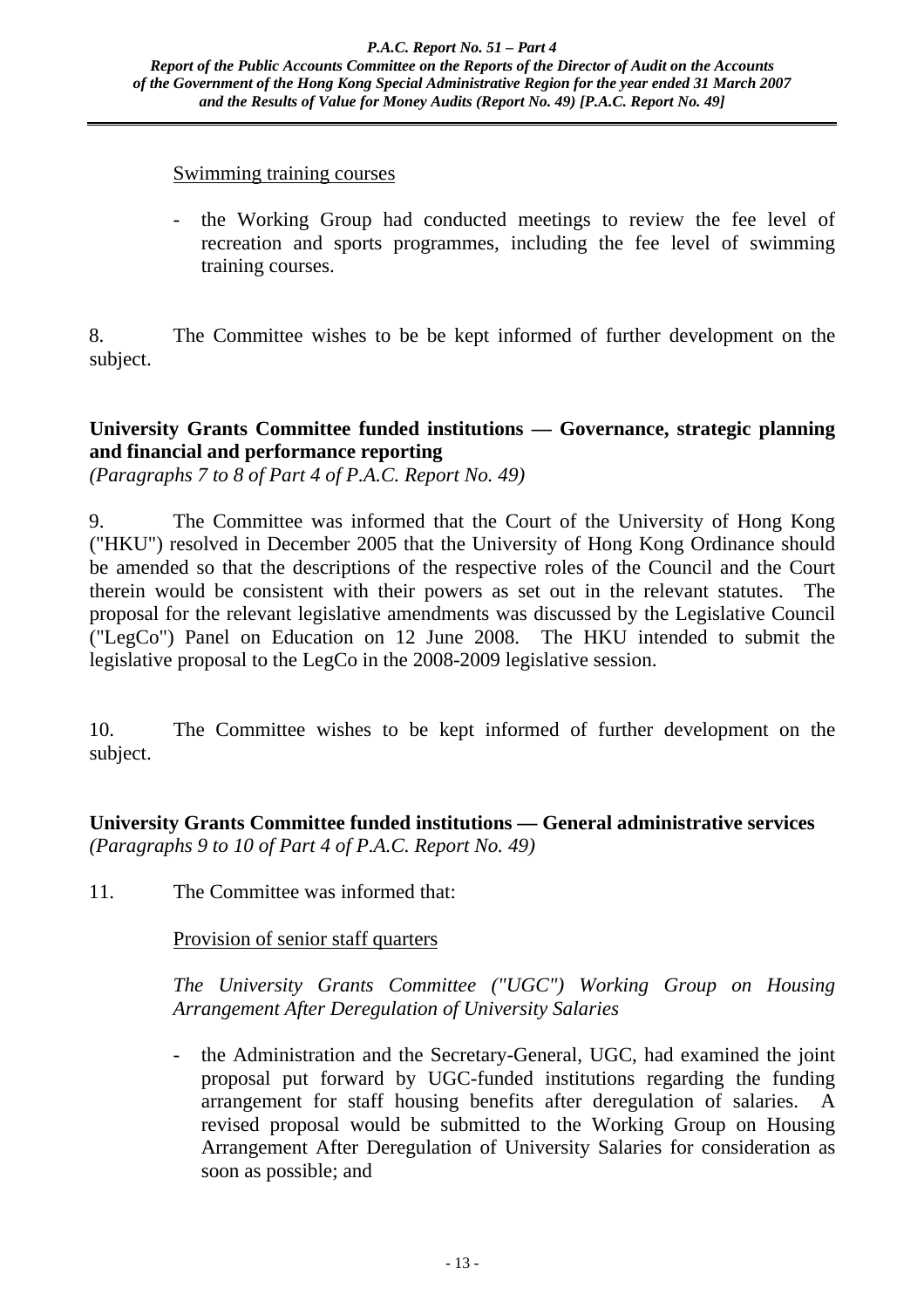#### Swimming training courses

- the Working Group had conducted meetings to review the fee level of recreation and sports programmes, including the fee level of swimming training courses.

8. The Committee wishes to be be kept informed of further development on the subject.

## **University Grants Committee funded institutions — Governance, strategic planning and financial and performance reporting**

*(Paragraphs 7 to 8 of Part 4 of P.A.C. Report No. 49)*

9. The Committee was informed that the Court of the University of Hong Kong ("HKU") resolved in December 2005 that the University of Hong Kong Ordinance should be amended so that the descriptions of the respective roles of the Council and the Court therein would be consistent with their powers as set out in the relevant statutes. The proposal for the relevant legislative amendments was discussed by the Legislative Council ("LegCo") Panel on Education on 12 June 2008. The HKU intended to submit the legislative proposal to the LegCo in the 2008-2009 legislative session.

10. The Committee wishes to be kept informed of further development on the subject.

**University Grants Committee funded institutions — General administrative services**  *(Paragraphs 9 to 10 of Part 4 of P.A.C. Report No. 49)*

11. The Committee was informed that:

Provision of senior staff quarters

*The University Grants Committee ("UGC") Working Group on Housing Arrangement After Deregulation of University Salaries* 

- the Administration and the Secretary-General, UGC, had examined the joint proposal put forward by UGC-funded institutions regarding the funding arrangement for staff housing benefits after deregulation of salaries. A revised proposal would be submitted to the Working Group on Housing Arrangement After Deregulation of University Salaries for consideration as soon as possible; and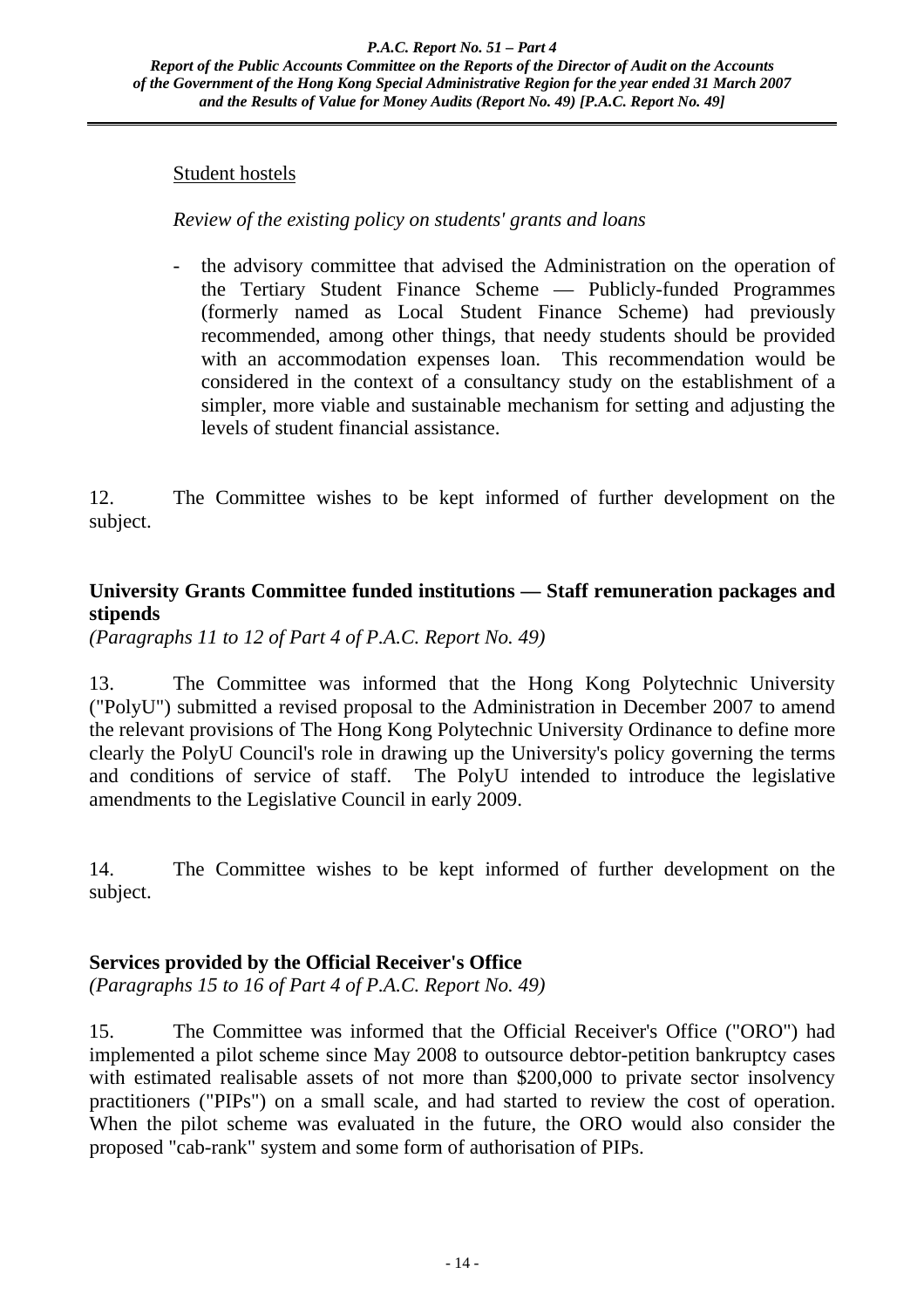### Student hostels

## *Review of the existing policy on students' grants and loans*

- the advisory committee that advised the Administration on the operation of the Tertiary Student Finance Scheme — Publicly-funded Programmes (formerly named as Local Student Finance Scheme) had previously recommended, among other things, that needy students should be provided with an accommodation expenses loan. This recommendation would be considered in the context of a consultancy study on the establishment of a simpler, more viable and sustainable mechanism for setting and adjusting the levels of student financial assistance.

12. The Committee wishes to be kept informed of further development on the subject.

## **University Grants Committee funded institutions — Staff remuneration packages and stipends**

*(Paragraphs 11 to 12 of Part 4 of P.A.C. Report No. 49)*

13. The Committee was informed that the Hong Kong Polytechnic University ("PolyU") submitted a revised proposal to the Administration in December 2007 to amend the relevant provisions of The Hong Kong Polytechnic University Ordinance to define more clearly the PolyU Council's role in drawing up the University's policy governing the terms and conditions of service of staff. The PolyU intended to introduce the legislative amendments to the Legislative Council in early 2009.

14. The Committee wishes to be kept informed of further development on the subject.

## **Services provided by the Official Receiver's Office**

*(Paragraphs 15 to 16 of Part 4 of P.A.C. Report No. 49)*

15. The Committee was informed that the Official Receiver's Office ("ORO") had implemented a pilot scheme since May 2008 to outsource debtor-petition bankruptcy cases with estimated realisable assets of not more than \$200,000 to private sector insolvency practitioners ("PIPs") on a small scale, and had started to review the cost of operation. When the pilot scheme was evaluated in the future, the ORO would also consider the proposed "cab-rank" system and some form of authorisation of PIPs.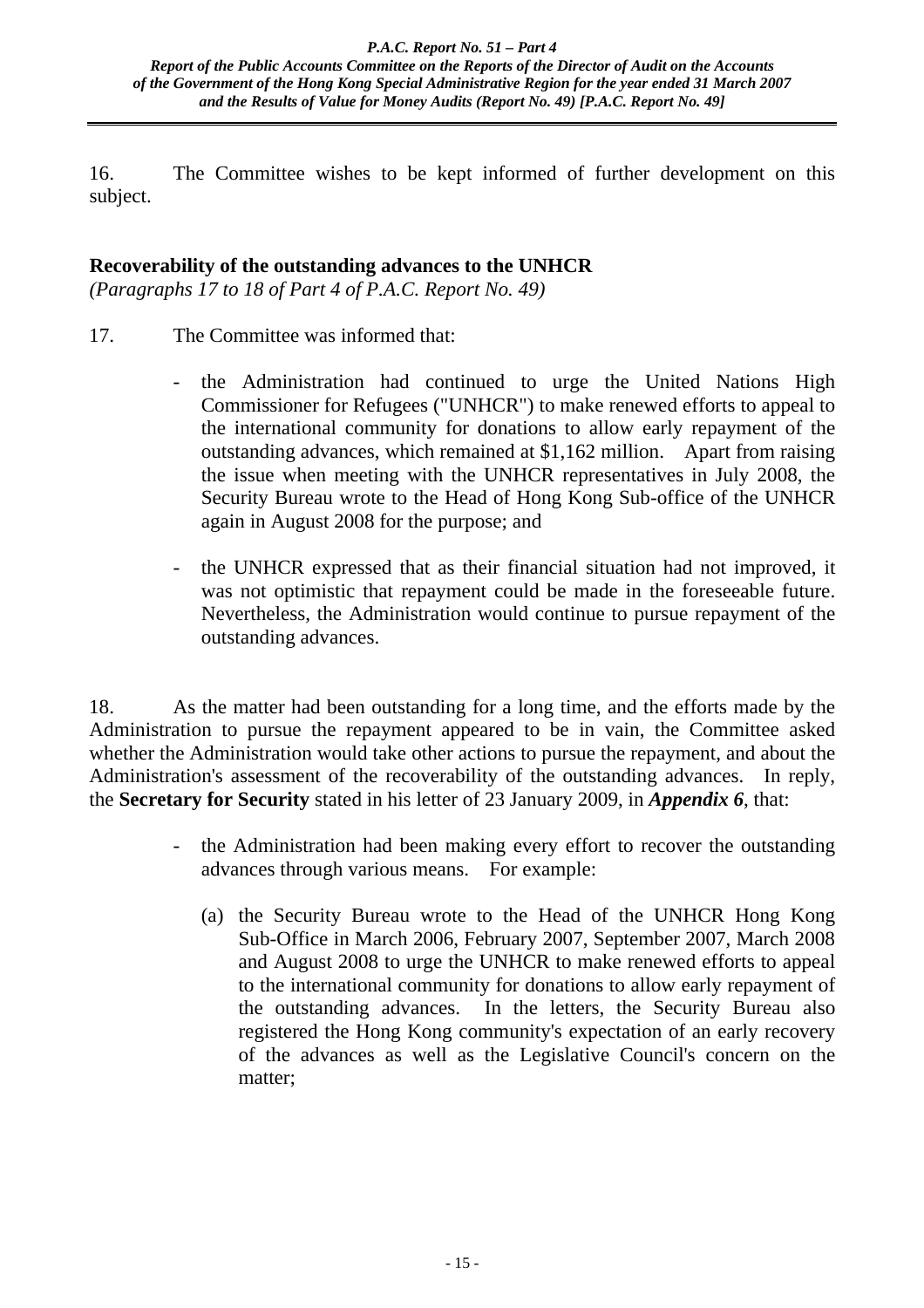16. The Committee wishes to be kept informed of further development on this subject.

## **Recoverability of the outstanding advances to the UNHCR**

*(Paragraphs 17 to 18 of Part 4 of P.A.C. Report No. 49)*

- 17. The Committee was informed that:
	- the Administration had continued to urge the United Nations High Commissioner for Refugees ("UNHCR") to make renewed efforts to appeal to the international community for donations to allow early repayment of the outstanding advances, which remained at \$1,162 million. Apart from raising the issue when meeting with the UNHCR representatives in July 2008, the Security Bureau wrote to the Head of Hong Kong Sub-office of the UNHCR again in August 2008 for the purpose; and
	- the UNHCR expressed that as their financial situation had not improved, it was not optimistic that repayment could be made in the foreseeable future. Nevertheless, the Administration would continue to pursue repayment of the outstanding advances.

18. As the matter had been outstanding for a long time, and the efforts made by the Administration to pursue the repayment appeared to be in vain, the Committee asked whether the Administration would take other actions to pursue the repayment, and about the Administration's assessment of the recoverability of the outstanding advances. In reply, the **Secretary for Security** stated in his letter of 23 January 2009, in *Appendix 6*, that:

- the Administration had been making every effort to recover the outstanding advances through various means. For example:
	- (a) the Security Bureau wrote to the Head of the UNHCR Hong Kong Sub-Office in March 2006, February 2007, September 2007, March 2008 and August 2008 to urge the UNHCR to make renewed efforts to appeal to the international community for donations to allow early repayment of the outstanding advances. In the letters, the Security Bureau also registered the Hong Kong community's expectation of an early recovery of the advances as well as the Legislative Council's concern on the matter;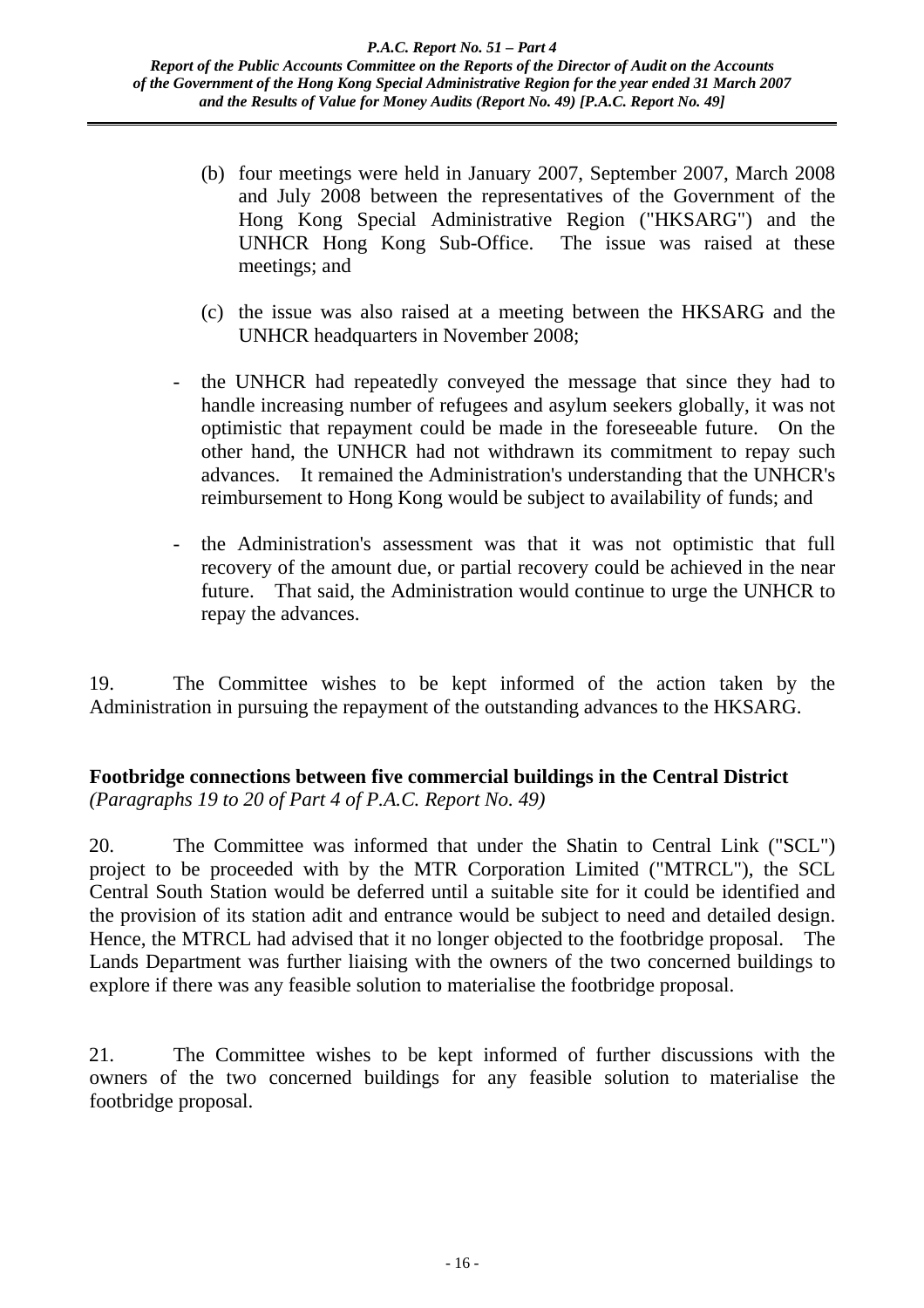- (b) four meetings were held in January 2007, September 2007, March 2008 and July 2008 between the representatives of the Government of the Hong Kong Special Administrative Region ("HKSARG") and the UNHCR Hong Kong Sub-Office. The issue was raised at these meetings; and
- (c) the issue was also raised at a meeting between the HKSARG and the UNHCR headquarters in November 2008;
- the UNHCR had repeatedly conveyed the message that since they had to handle increasing number of refugees and asylum seekers globally, it was not optimistic that repayment could be made in the foreseeable future. On the other hand, the UNHCR had not withdrawn its commitment to repay such advances. It remained the Administration's understanding that the UNHCR's reimbursement to Hong Kong would be subject to availability of funds; and
- the Administration's assessment was that it was not optimistic that full recovery of the amount due, or partial recovery could be achieved in the near future. That said, the Administration would continue to urge the UNHCR to repay the advances.

19. The Committee wishes to be kept informed of the action taken by the Administration in pursuing the repayment of the outstanding advances to the HKSARG.

## **Footbridge connections between five commercial buildings in the Central District**  *(Paragraphs 19 to 20 of Part 4 of P.A.C. Report No. 49)*

20. The Committee was informed that under the Shatin to Central Link ("SCL") project to be proceeded with by the MTR Corporation Limited ("MTRCL"), the SCL Central South Station would be deferred until a suitable site for it could be identified and the provision of its station adit and entrance would be subject to need and detailed design. Hence, the MTRCL had advised that it no longer objected to the footbridge proposal. The Lands Department was further liaising with the owners of the two concerned buildings to explore if there was any feasible solution to materialise the footbridge proposal.

21. The Committee wishes to be kept informed of further discussions with the owners of the two concerned buildings for any feasible solution to materialise the footbridge proposal.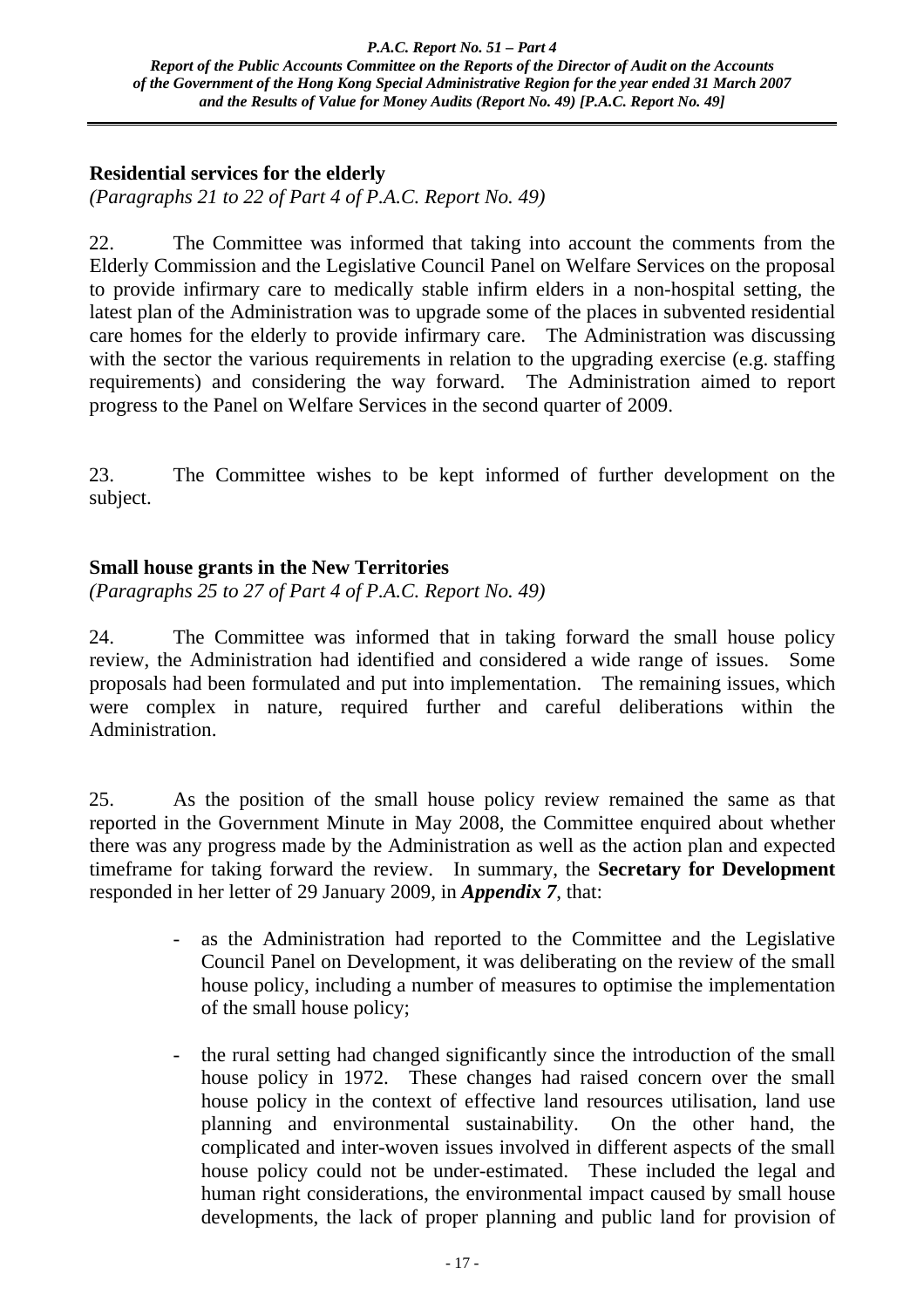## **Residential services for the elderly**

*(Paragraphs 21 to 22 of Part 4 of P.A.C. Report No. 49)*

22. The Committee was informed that taking into account the comments from the Elderly Commission and the Legislative Council Panel on Welfare Services on the proposal to provide infirmary care to medically stable infirm elders in a non-hospital setting, the latest plan of the Administration was to upgrade some of the places in subvented residential care homes for the elderly to provide infirmary care. The Administration was discussing with the sector the various requirements in relation to the upgrading exercise (e.g. staffing requirements) and considering the way forward. The Administration aimed to report progress to the Panel on Welfare Services in the second quarter of 2009.

23. The Committee wishes to be kept informed of further development on the subject.

## **Small house grants in the New Territories**

*(Paragraphs 25 to 27 of Part 4 of P.A.C. Report No. 49)*

24. The Committee was informed that in taking forward the small house policy review, the Administration had identified and considered a wide range of issues. Some proposals had been formulated and put into implementation. The remaining issues, which were complex in nature, required further and careful deliberations within the Administration.

25. As the position of the small house policy review remained the same as that reported in the Government Minute in May 2008, the Committee enquired about whether there was any progress made by the Administration as well as the action plan and expected timeframe for taking forward the review. In summary, the **Secretary for Development** responded in her letter of 29 January 2009, in *Appendix 7*, that:

- as the Administration had reported to the Committee and the Legislative Council Panel on Development, it was deliberating on the review of the small house policy, including a number of measures to optimise the implementation of the small house policy;
- the rural setting had changed significantly since the introduction of the small house policy in 1972. These changes had raised concern over the small house policy in the context of effective land resources utilisation, land use planning and environmental sustainability. On the other hand, the complicated and inter-woven issues involved in different aspects of the small house policy could not be under-estimated. These included the legal and human right considerations, the environmental impact caused by small house developments, the lack of proper planning and public land for provision of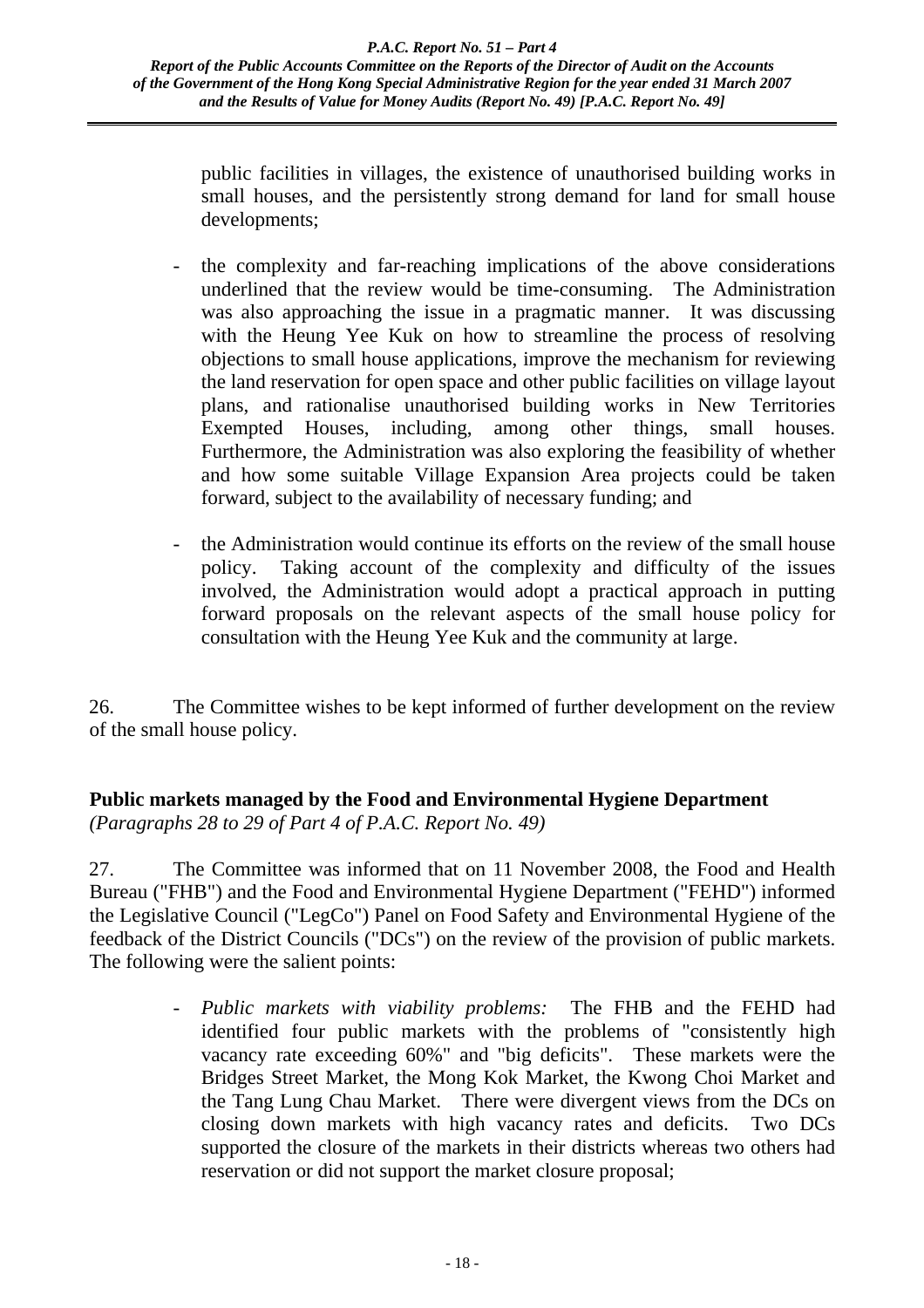public facilities in villages, the existence of unauthorised building works in small houses, and the persistently strong demand for land for small house developments;

- the complexity and far-reaching implications of the above considerations underlined that the review would be time-consuming. The Administration was also approaching the issue in a pragmatic manner. It was discussing with the Heung Yee Kuk on how to streamline the process of resolving objections to small house applications, improve the mechanism for reviewing the land reservation for open space and other public facilities on village layout plans, and rationalise unauthorised building works in New Territories Exempted Houses, including, among other things, small houses. Furthermore, the Administration was also exploring the feasibility of whether and how some suitable Village Expansion Area projects could be taken forward, subject to the availability of necessary funding; and
- the Administration would continue its efforts on the review of the small house policy. Taking account of the complexity and difficulty of the issues involved, the Administration would adopt a practical approach in putting forward proposals on the relevant aspects of the small house policy for consultation with the Heung Yee Kuk and the community at large.

26. The Committee wishes to be kept informed of further development on the review of the small house policy.

## **Public markets managed by the Food and Environmental Hygiene Department**  *(Paragraphs 28 to 29 of Part 4 of P.A.C. Report No. 49)*

27. The Committee was informed that on 11 November 2008, the Food and Health Bureau ("FHB") and the Food and Environmental Hygiene Department ("FEHD") informed the Legislative Council ("LegCo") Panel on Food Safety and Environmental Hygiene of the feedback of the District Councils ("DCs") on the review of the provision of public markets. The following were the salient points:

> - *Public markets with viability problems:* The FHB and the FEHD had identified four public markets with the problems of "consistently high vacancy rate exceeding 60%" and "big deficits". These markets were the Bridges Street Market, the Mong Kok Market, the Kwong Choi Market and the Tang Lung Chau Market. There were divergent views from the DCs on closing down markets with high vacancy rates and deficits. Two DCs supported the closure of the markets in their districts whereas two others had reservation or did not support the market closure proposal;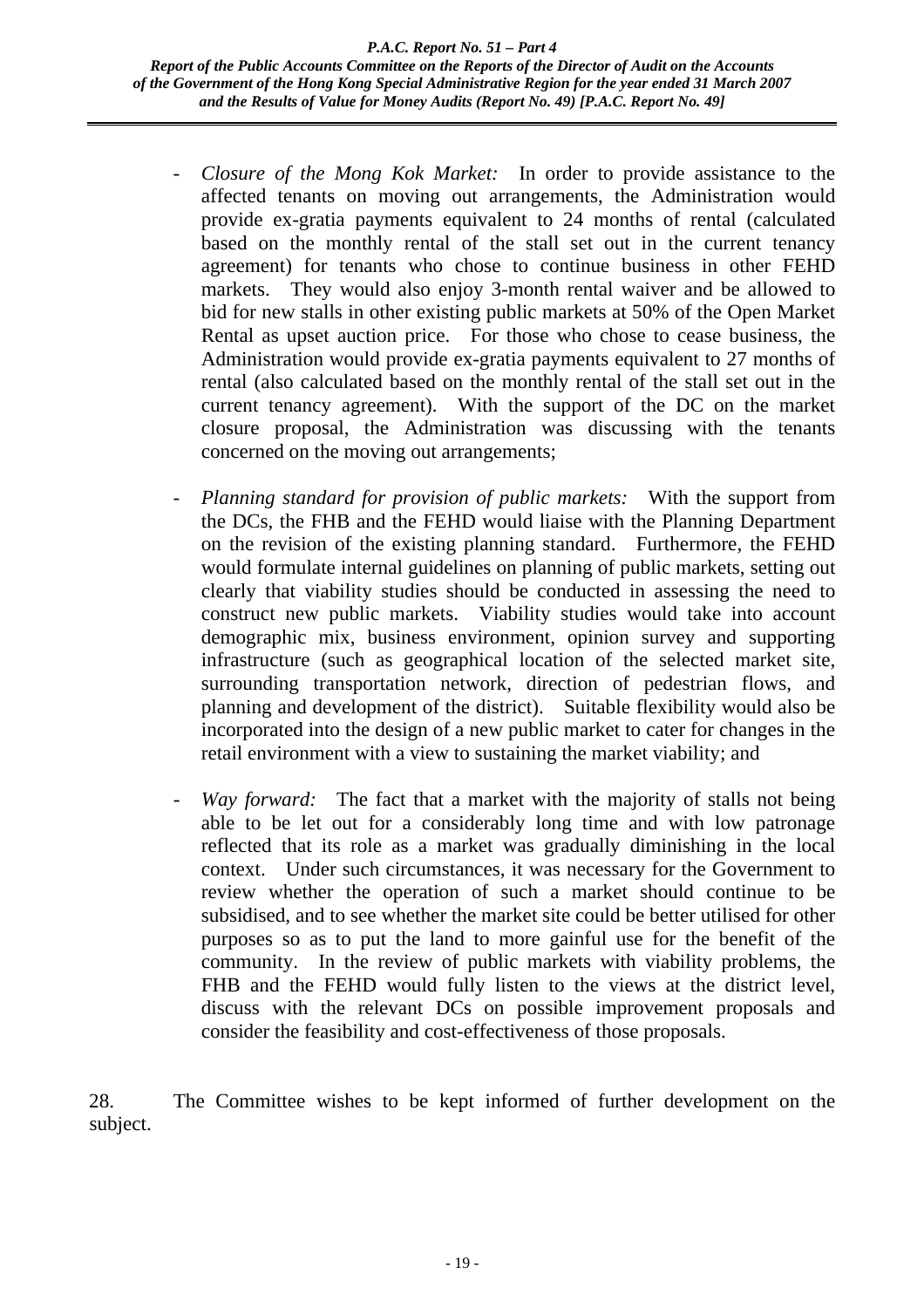- *Closure of the Mong Kok Market:* In order to provide assistance to the affected tenants on moving out arrangements, the Administration would provide ex-gratia payments equivalent to 24 months of rental (calculated based on the monthly rental of the stall set out in the current tenancy agreement) for tenants who chose to continue business in other FEHD markets. They would also enjoy 3-month rental waiver and be allowed to bid for new stalls in other existing public markets at 50% of the Open Market Rental as upset auction price. For those who chose to cease business, the Administration would provide ex-gratia payments equivalent to 27 months of rental (also calculated based on the monthly rental of the stall set out in the current tenancy agreement). With the support of the DC on the market closure proposal, the Administration was discussing with the tenants concerned on the moving out arrangements;
- *Planning standard for provision of public markets:* With the support from the DCs, the FHB and the FEHD would liaise with the Planning Department on the revision of the existing planning standard. Furthermore, the FEHD would formulate internal guidelines on planning of public markets, setting out clearly that viability studies should be conducted in assessing the need to construct new public markets. Viability studies would take into account demographic mix, business environment, opinion survey and supporting infrastructure (such as geographical location of the selected market site, surrounding transportation network, direction of pedestrian flows, and planning and development of the district). Suitable flexibility would also be incorporated into the design of a new public market to cater for changes in the retail environment with a view to sustaining the market viability; and
- *Way forward:* The fact that a market with the majority of stalls not being able to be let out for a considerably long time and with low patronage reflected that its role as a market was gradually diminishing in the local context. Under such circumstances, it was necessary for the Government to review whether the operation of such a market should continue to be subsidised, and to see whether the market site could be better utilised for other purposes so as to put the land to more gainful use for the benefit of the community. In the review of public markets with viability problems, the FHB and the FEHD would fully listen to the views at the district level, discuss with the relevant DCs on possible improvement proposals and consider the feasibility and cost-effectiveness of those proposals.

28. The Committee wishes to be kept informed of further development on the subject.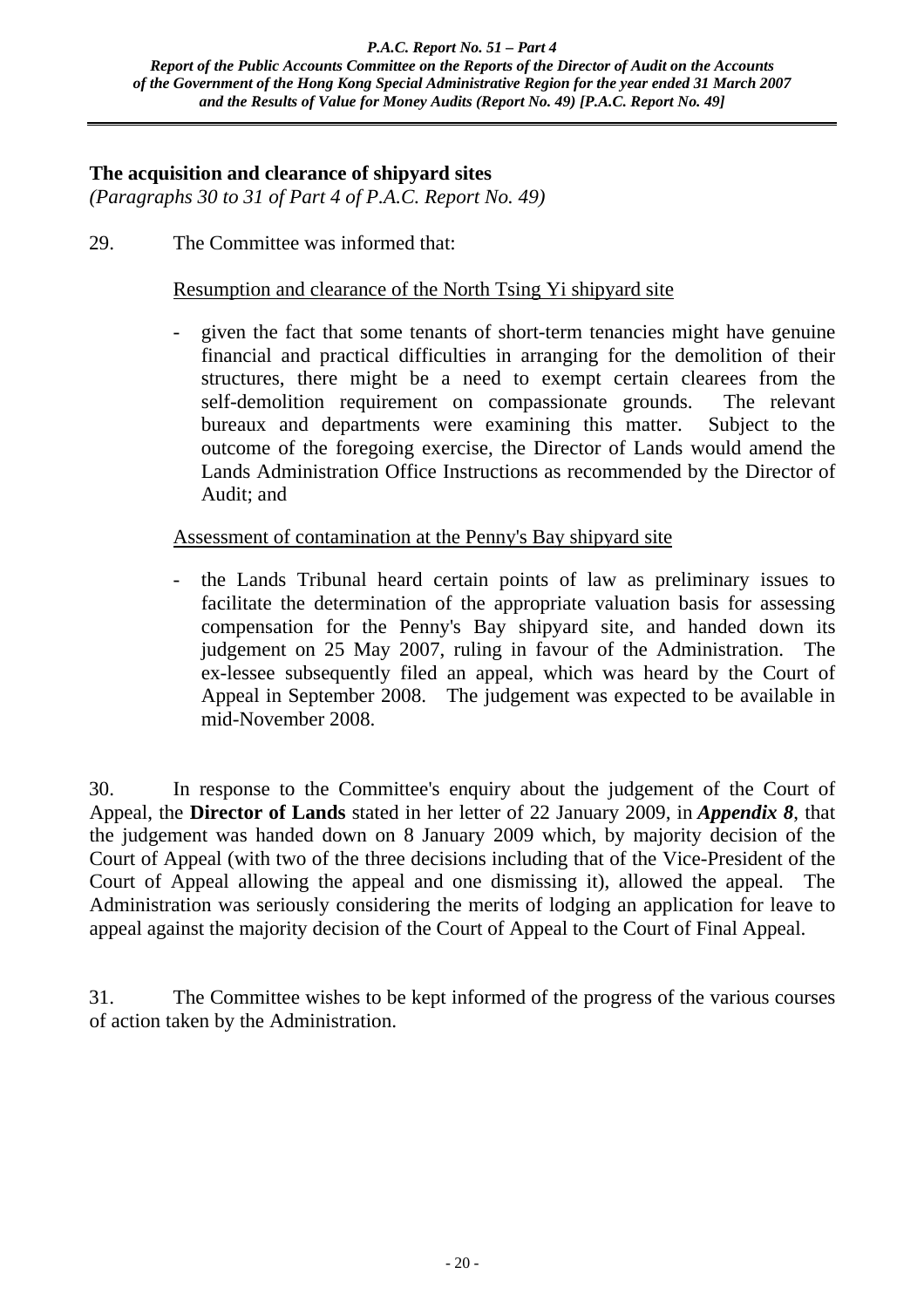## **The acquisition and clearance of shipyard sites**

*(Paragraphs 30 to 31 of Part 4 of P.A.C. Report No. 49)*

29. The Committee was informed that:

### Resumption and clearance of the North Tsing Yi shipyard site

- given the fact that some tenants of short-term tenancies might have genuine financial and practical difficulties in arranging for the demolition of their structures, there might be a need to exempt certain clearees from the self-demolition requirement on compassionate grounds. The relevant bureaux and departments were examining this matter. Subject to the outcome of the foregoing exercise, the Director of Lands would amend the Lands Administration Office Instructions as recommended by the Director of Audit; and

#### Assessment of contamination at the Penny's Bay shipyard site

- the Lands Tribunal heard certain points of law as preliminary issues to facilitate the determination of the appropriate valuation basis for assessing compensation for the Penny's Bay shipyard site, and handed down its judgement on 25 May 2007, ruling in favour of the Administration. The ex-lessee subsequently filed an appeal, which was heard by the Court of Appeal in September 2008. The judgement was expected to be available in mid-November 2008.

30. In response to the Committee's enquiry about the judgement of the Court of Appeal, the **Director of Lands** stated in her letter of 22 January 2009, in *Appendix 8*, that the judgement was handed down on 8 January 2009 which, by majority decision of the Court of Appeal (with two of the three decisions including that of the Vice-President of the Court of Appeal allowing the appeal and one dismissing it), allowed the appeal. The Administration was seriously considering the merits of lodging an application for leave to appeal against the majority decision of the Court of Appeal to the Court of Final Appeal.

31. The Committee wishes to be kept informed of the progress of the various courses of action taken by the Administration.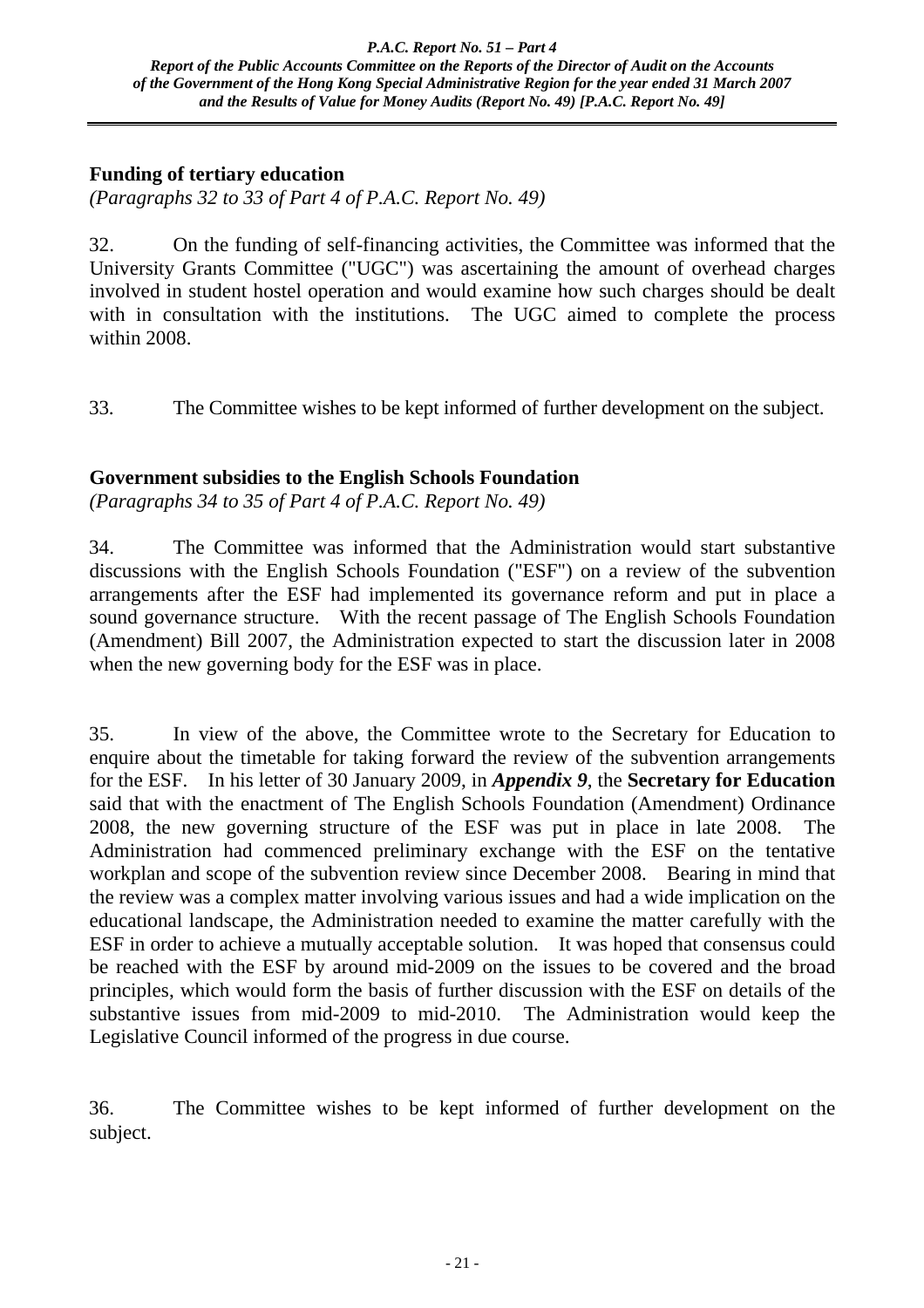## **Funding of tertiary education**

*(Paragraphs 32 to 33 of Part 4 of P.A.C. Report No. 49)*

32. On the funding of self-financing activities, the Committee was informed that the University Grants Committee ("UGC") was ascertaining the amount of overhead charges involved in student hostel operation and would examine how such charges should be dealt with in consultation with the institutions. The UGC aimed to complete the process within 2008.

33. The Committee wishes to be kept informed of further development on the subject.

## **Government subsidies to the English Schools Foundation**

*(Paragraphs 34 to 35 of Part 4 of P.A.C. Report No. 49)*

34. The Committee was informed that the Administration would start substantive discussions with the English Schools Foundation ("ESF") on a review of the subvention arrangements after the ESF had implemented its governance reform and put in place a sound governance structure. With the recent passage of The English Schools Foundation (Amendment) Bill 2007, the Administration expected to start the discussion later in 2008 when the new governing body for the ESF was in place.

35. In view of the above, the Committee wrote to the Secretary for Education to enquire about the timetable for taking forward the review of the subvention arrangements for the ESF. In his letter of 30 January 2009, in *Appendix 9*, the **Secretary for Education** said that with the enactment of The English Schools Foundation (Amendment) Ordinance 2008, the new governing structure of the ESF was put in place in late 2008. The Administration had commenced preliminary exchange with the ESF on the tentative workplan and scope of the subvention review since December 2008. Bearing in mind that the review was a complex matter involving various issues and had a wide implication on the educational landscape, the Administration needed to examine the matter carefully with the ESF in order to achieve a mutually acceptable solution. It was hoped that consensus could be reached with the ESF by around mid-2009 on the issues to be covered and the broad principles, which would form the basis of further discussion with the ESF on details of the substantive issues from mid-2009 to mid-2010. The Administration would keep the Legislative Council informed of the progress in due course.

36. The Committee wishes to be kept informed of further development on the subject.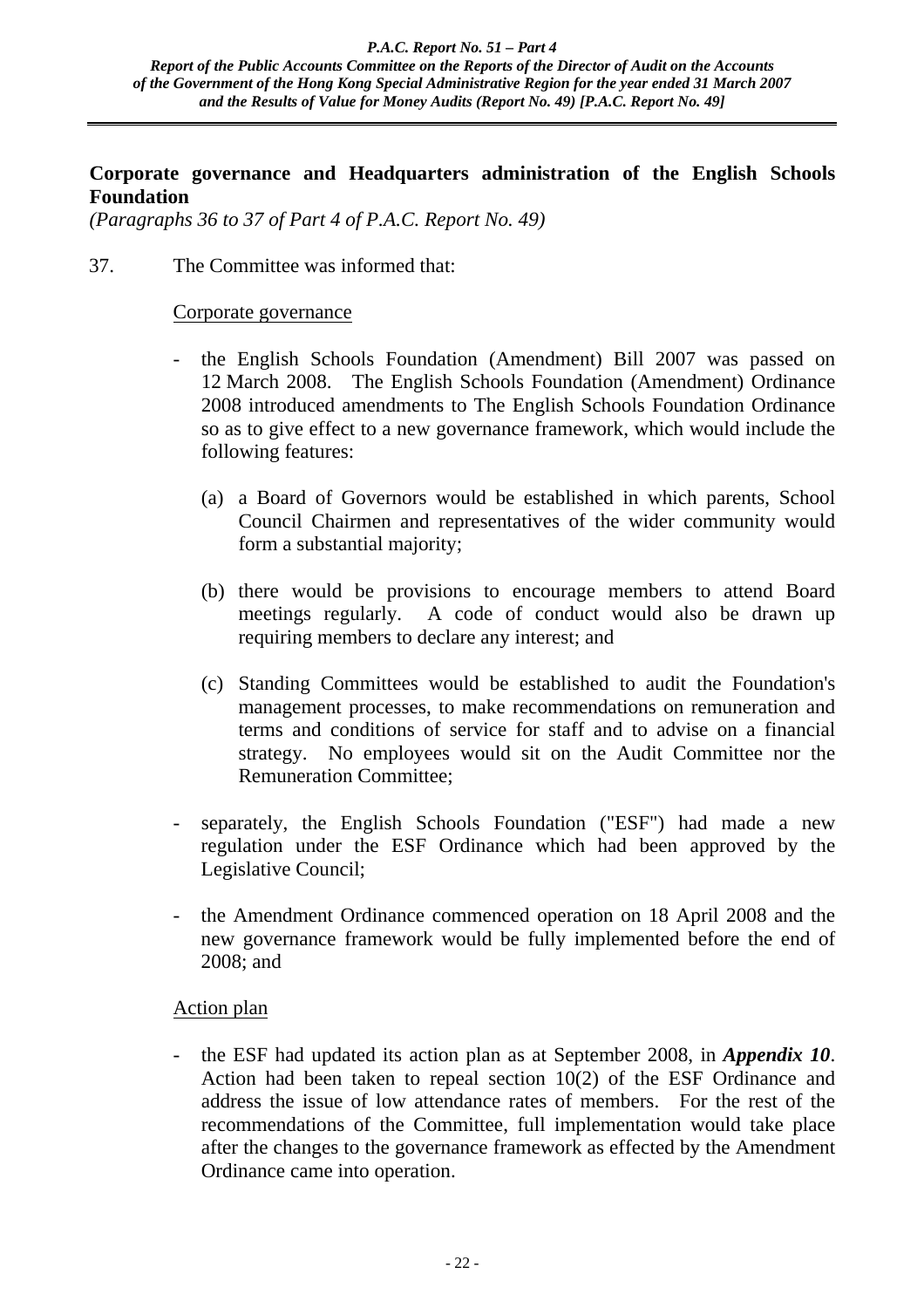## **Corporate governance and Headquarters administration of the English Schools Foundation**

*(Paragraphs 36 to 37 of Part 4 of P.A.C. Report No. 49)*

37. The Committee was informed that:

#### Corporate governance

- the English Schools Foundation (Amendment) Bill 2007 was passed on 12 March 2008. The English Schools Foundation (Amendment) Ordinance 2008 introduced amendments to The English Schools Foundation Ordinance so as to give effect to a new governance framework, which would include the following features:
	- (a) a Board of Governors would be established in which parents, School Council Chairmen and representatives of the wider community would form a substantial majority;
	- (b) there would be provisions to encourage members to attend Board meetings regularly. A code of conduct would also be drawn up requiring members to declare any interest; and
	- (c) Standing Committees would be established to audit the Foundation's management processes, to make recommendations on remuneration and terms and conditions of service for staff and to advise on a financial strategy. No employees would sit on the Audit Committee nor the Remuneration Committee;
- separately, the English Schools Foundation ("ESF") had made a new regulation under the ESF Ordinance which had been approved by the Legislative Council;
- the Amendment Ordinance commenced operation on 18 April 2008 and the new governance framework would be fully implemented before the end of 2008; and

## Action plan

- the ESF had updated its action plan as at September 2008, in *Appendix 10*. Action had been taken to repeal section 10(2) of the ESF Ordinance and address the issue of low attendance rates of members. For the rest of the recommendations of the Committee, full implementation would take place after the changes to the governance framework as effected by the Amendment Ordinance came into operation.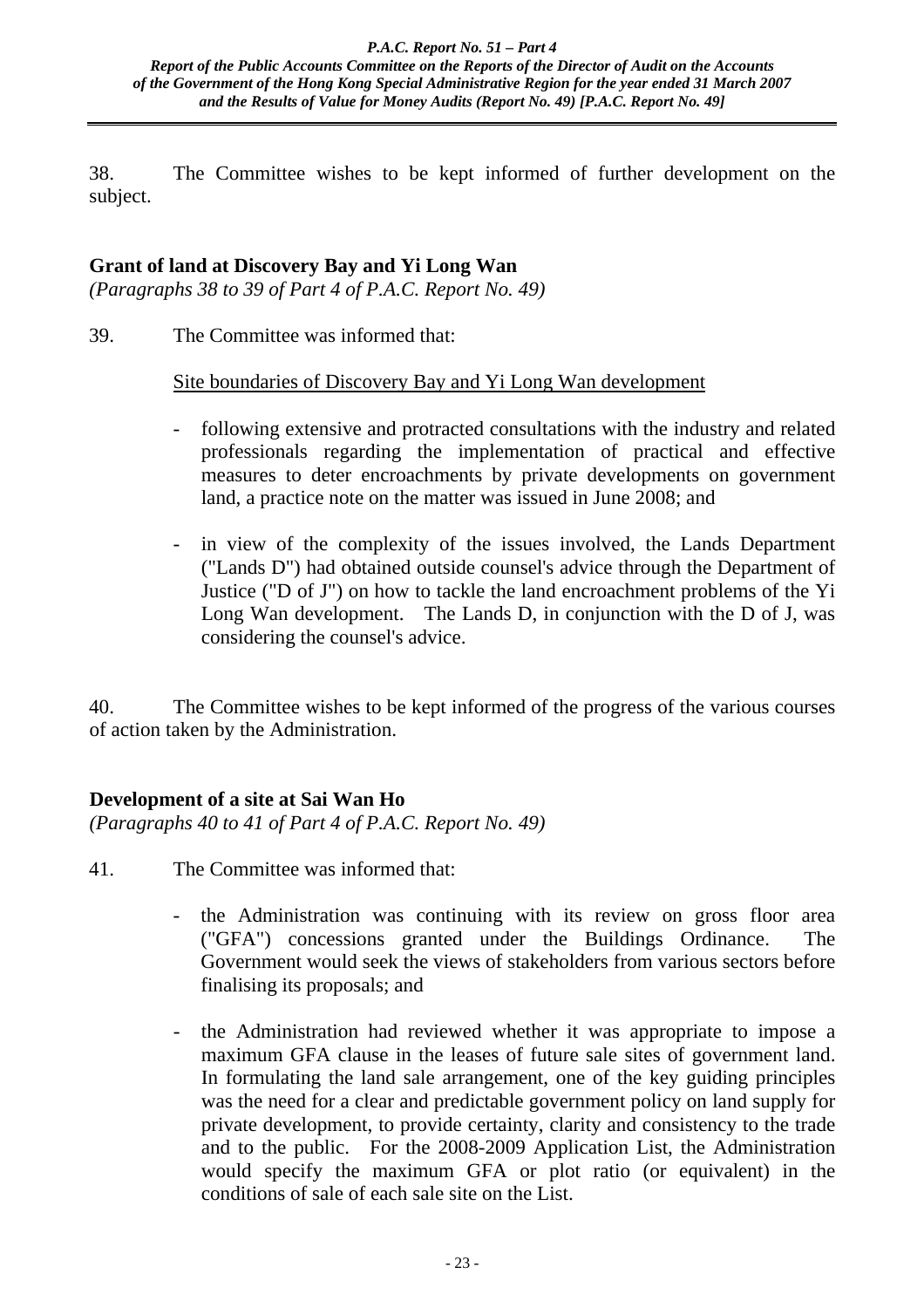38. The Committee wishes to be kept informed of further development on the subject.

# **Grant of land at Discovery Bay and Yi Long Wan**

*(Paragraphs 38 to 39 of Part 4 of P.A.C. Report No. 49)*

39. The Committee was informed that:

Site boundaries of Discovery Bay and Yi Long Wan development

- following extensive and protracted consultations with the industry and related professionals regarding the implementation of practical and effective measures to deter encroachments by private developments on government land, a practice note on the matter was issued in June 2008; and
- in view of the complexity of the issues involved, the Lands Department ("Lands D") had obtained outside counsel's advice through the Department of Justice ("D of J") on how to tackle the land encroachment problems of the Yi Long Wan development. The Lands D, in conjunction with the D of J, was considering the counsel's advice.

40. The Committee wishes to be kept informed of the progress of the various courses of action taken by the Administration.

# **Development of a site at Sai Wan Ho**

*(Paragraphs 40 to 41 of Part 4 of P.A.C. Report No. 49)*

- 41. The Committee was informed that:
	- the Administration was continuing with its review on gross floor area ("GFA") concessions granted under the Buildings Ordinance. The Government would seek the views of stakeholders from various sectors before finalising its proposals; and
	- the Administration had reviewed whether it was appropriate to impose a maximum GFA clause in the leases of future sale sites of government land. In formulating the land sale arrangement, one of the key guiding principles was the need for a clear and predictable government policy on land supply for private development, to provide certainty, clarity and consistency to the trade and to the public. For the 2008-2009 Application List, the Administration would specify the maximum GFA or plot ratio (or equivalent) in the conditions of sale of each sale site on the List.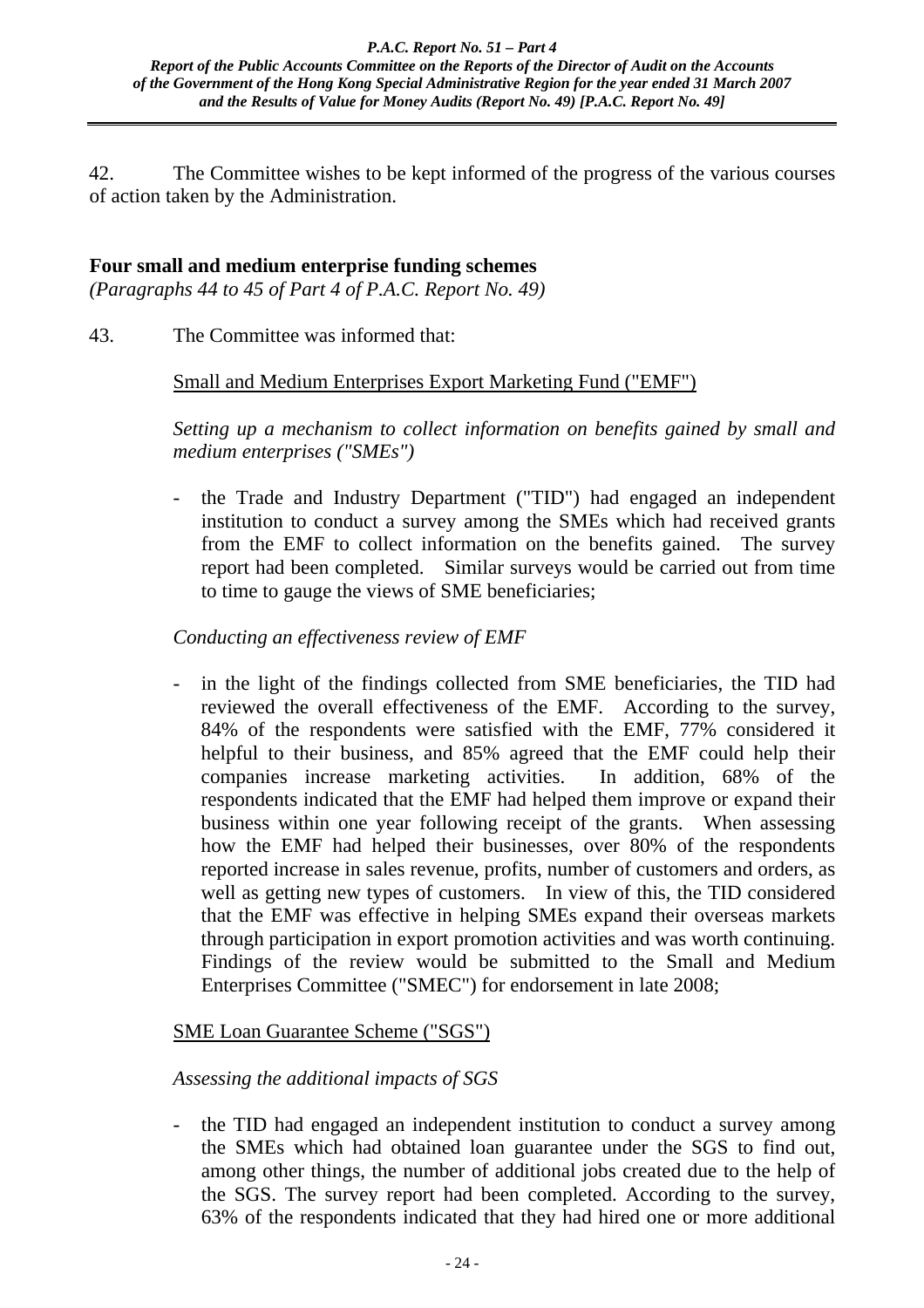42. The Committee wishes to be kept informed of the progress of the various courses of action taken by the Administration.

# **Four small and medium enterprise funding schemes**

*(Paragraphs 44 to 45 of Part 4 of P.A.C. Report No. 49)*

43. The Committee was informed that:

## Small and Medium Enterprises Export Marketing Fund ("EMF")

*Setting up a mechanism to collect information on benefits gained by small and medium enterprises ("SMEs")* 

- the Trade and Industry Department ("TID") had engaged an independent institution to conduct a survey among the SMEs which had received grants from the EMF to collect information on the benefits gained. The survey report had been completed. Similar surveys would be carried out from time to time to gauge the views of SME beneficiaries;

## *Conducting an effectiveness review of EMF*

- in the light of the findings collected from SME beneficiaries, the TID had reviewed the overall effectiveness of the EMF. According to the survey, 84% of the respondents were satisfied with the EMF, 77% considered it helpful to their business, and 85% agreed that the EMF could help their companies increase marketing activities. In addition, 68% of the respondents indicated that the EMF had helped them improve or expand their business within one year following receipt of the grants. When assessing how the EMF had helped their businesses, over 80% of the respondents reported increase in sales revenue, profits, number of customers and orders, as well as getting new types of customers. In view of this, the TID considered that the EMF was effective in helping SMEs expand their overseas markets through participation in export promotion activities and was worth continuing. Findings of the review would be submitted to the Small and Medium Enterprises Committee ("SMEC") for endorsement in late 2008;

## SME Loan Guarantee Scheme ("SGS")

## *Assessing the additional impacts of SGS*

- the TID had engaged an independent institution to conduct a survey among the SMEs which had obtained loan guarantee under the SGS to find out, among other things, the number of additional jobs created due to the help of the SGS. The survey report had been completed. According to the survey, 63% of the respondents indicated that they had hired one or more additional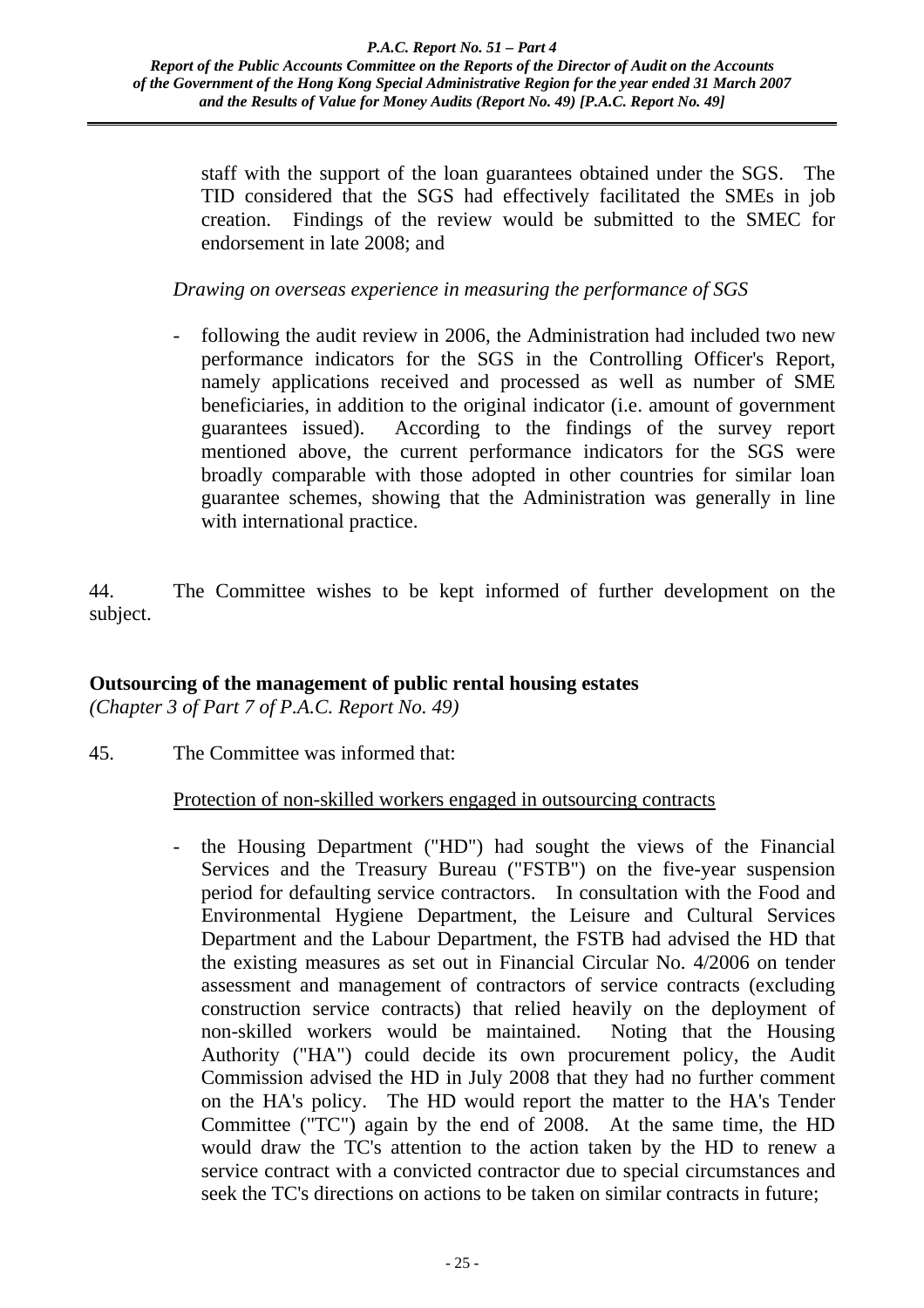staff with the support of the loan guarantees obtained under the SGS. The TID considered that the SGS had effectively facilitated the SMEs in job creation. Findings of the review would be submitted to the SMEC for endorsement in late 2008; and

*Drawing on overseas experience in measuring the performance of SGS* 

- following the audit review in 2006, the Administration had included two new performance indicators for the SGS in the Controlling Officer's Report, namely applications received and processed as well as number of SME beneficiaries, in addition to the original indicator (i.e. amount of government guarantees issued). According to the findings of the survey report mentioned above, the current performance indicators for the SGS were broadly comparable with those adopted in other countries for similar loan guarantee schemes, showing that the Administration was generally in line with international practice.

44. The Committee wishes to be kept informed of further development on the subject.

## **Outsourcing of the management of public rental housing estates**

*(Chapter 3 of Part 7 of P.A.C. Report No. 49)*

45. The Committee was informed that:

## Protection of non-skilled workers engaged in outsourcing contracts

- the Housing Department ("HD") had sought the views of the Financial Services and the Treasury Bureau ("FSTB") on the five-year suspension period for defaulting service contractors. In consultation with the Food and Environmental Hygiene Department, the Leisure and Cultural Services Department and the Labour Department, the FSTB had advised the HD that the existing measures as set out in Financial Circular No. 4/2006 on tender assessment and management of contractors of service contracts (excluding construction service contracts) that relied heavily on the deployment of non-skilled workers would be maintained. Noting that the Housing Authority ("HA") could decide its own procurement policy, the Audit Commission advised the HD in July 2008 that they had no further comment on the HA's policy. The HD would report the matter to the HA's Tender Committee ("TC") again by the end of 2008. At the same time, the HD would draw the TC's attention to the action taken by the HD to renew a service contract with a convicted contractor due to special circumstances and seek the TC's directions on actions to be taken on similar contracts in future;